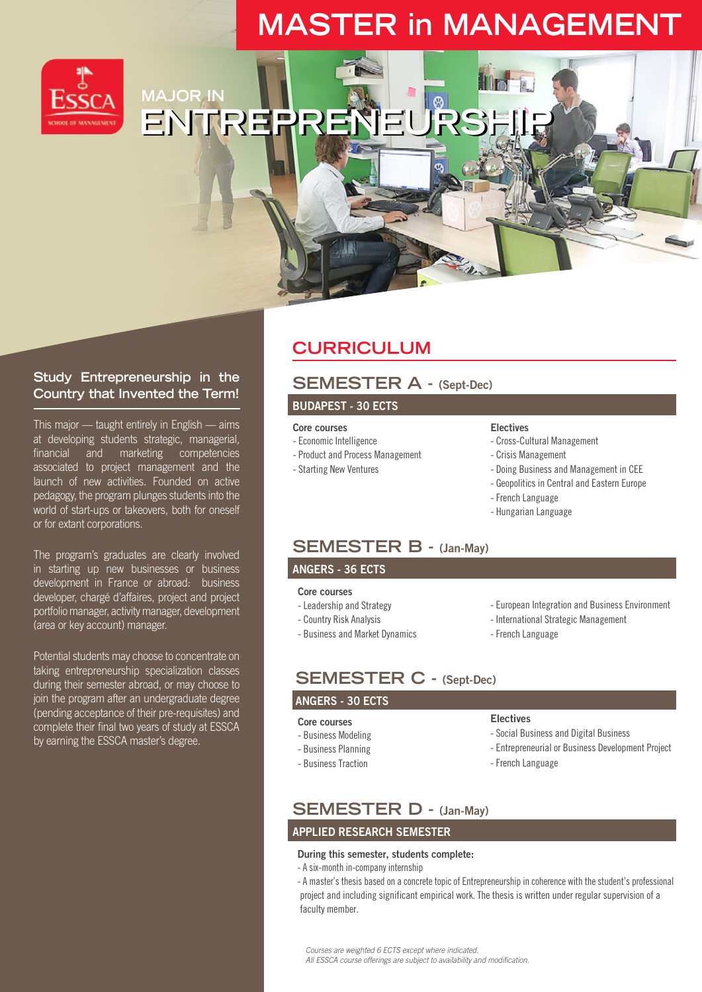# **MASTER in MANAGEMENT**



**MAJOR IN ENTREPRE** 

### **Study Entrepreneurship in the Country that Invented the Term!**

This major — taught entirely in English — aims at developing students strategic, managerial, financial and marketing competencies associated to project management and the launch of new activities. Founded on active pedagogy, the program plunges students into the world of start-ups or takeovers, both for oneself or for extant corporations.

The program's graduates are clearly involved in starting up new businesses or business development in France or abroad: business developer, chargé d'affaires, project and project portfolio manager, activity manager, development (area or key account) manager.

Potential students may choose to concentrate on taking entrepreneurship specialization classes during their semester abroad, or may choose to join the program after an undergraduate degree (pending acceptance of their pre-requisites) and complete their final two years of study at ESSCA by earning the ESSCA master's degree.

## **CURRICULUM**

## **SEMESTER A - (Sept-Dec)**

### **BUDAPEST - 30 ECTS**

- **Core courses**
- Economic Intelligence
- Product and Process Management
- Starting New Ventures

### **Electives**

- Cross-Cultural Management
- Crisis Management
	- Doing Business and Management in CEE
	- Geopolitics in Central and Eastern Europe
	- French Language
	- Hungarian Language

### **SEMESTER B - (Jan-May)**

### **ANGERS - 36 ECTS**

#### **Core courses**

- Leadership and Strategy
- Country Risk Analysis
- Business and Market Dynamics
- European Integration and Business Environment
- International Strategic Management
- French Language

## **SEMESTER C - (Sept-Dec)**

#### **ANGERS - 30 ECTS**

#### **Core courses**

- 
- Business Modeling
- Business Planning
- Business Traction

### Electives

- Social Business and Digital Business
- Entrepreneurial or Business Development Project
- French Language

## **SEMESTER D - (Jan-May)**

### **APPLIED RESEARCH SEMESTER**

#### **During this semester, students complete:**

- A six-month in-company internship

- A master's thesis based on a concrete topic of Entrepreneurship in coherence with the student's professional project and including significant empirical work. The thesis is written under regular supervision of a faculty member.